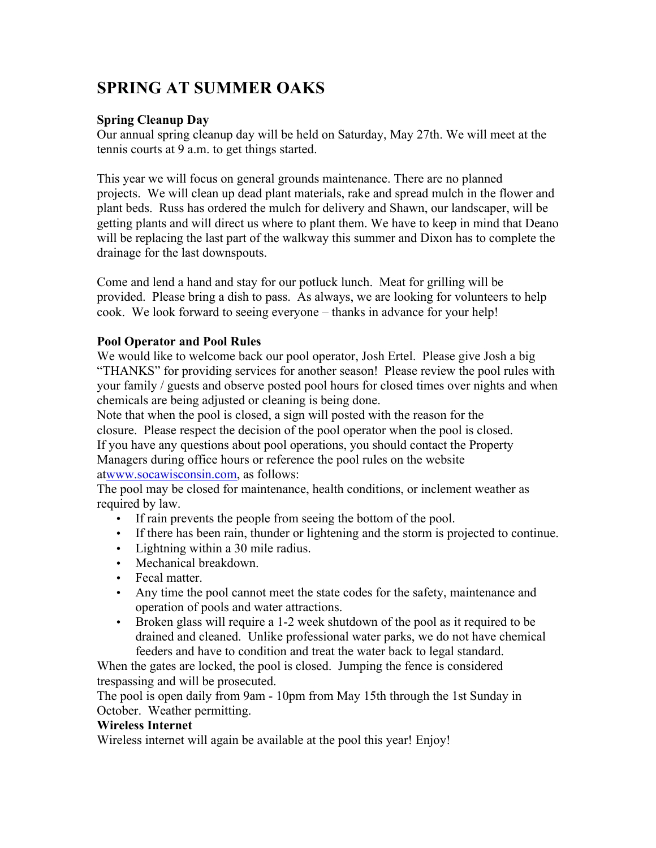# **SPRING AT SUMMER OAKS**

# **Spring Cleanup Day**

Our annual spring cleanup day will be held on Saturday, May 27th. We will meet at the tennis courts at 9 a.m. to get things started.

This year we will focus on general grounds maintenance. There are no planned projects. We will clean up dead plant materials, rake and spread mulch in the flower and plant beds. Russ has ordered the mulch for delivery and Shawn, our landscaper, will be getting plants and will direct us where to plant them. We have to keep in mind that Deano will be replacing the last part of the walkway this summer and Dixon has to complete the drainage for the last downspouts.

Come and lend a hand and stay for our potluck lunch. Meat for grilling will be provided. Please bring a dish to pass. As always, we are looking for volunteers to help cook. We look forward to seeing everyone – thanks in advance for your help!

## **Pool Operator and Pool Rules**

We would like to welcome back our pool operator, Josh Ertel. Please give Josh a big "THANKS" for providing services for another season! Please review the pool rules with your family / guests and observe posted pool hours for closed times over nights and when chemicals are being adjusted or cleaning is being done.

Note that when the pool is closed, a sign will posted with the reason for the closure. Please respect the decision of the pool operator when the pool is closed. If you have any questions about pool operations, you should contact the Property Managers during office hours or reference the pool rules on the website atwww.socawisconsin.com, as follows:

The pool may be closed for maintenance, health conditions, or inclement weather as required by law.

- If rain prevents the people from seeing the bottom of the pool.
- If there has been rain, thunder or lightening and the storm is projected to continue.
- Lightning within a 30 mile radius.
- Mechanical breakdown
- Fecal matter.
- Any time the pool cannot meet the state codes for the safety, maintenance and operation of pools and water attractions.
- Broken glass will require a 1-2 week shutdown of the pool as it required to be drained and cleaned. Unlike professional water parks, we do not have chemical feeders and have to condition and treat the water back to legal standard.

When the gates are locked, the pool is closed. Jumping the fence is considered trespassing and will be prosecuted.

The pool is open daily from 9am - 10pm from May 15th through the 1st Sunday in October. Weather permitting.

## **Wireless Internet**

Wireless internet will again be available at the pool this year! Enjoy!